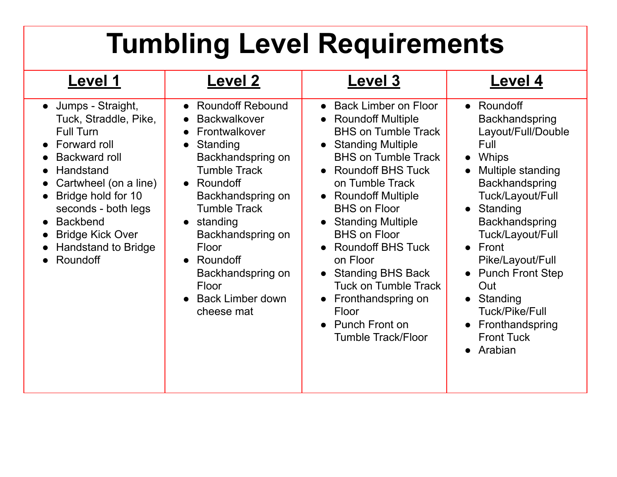# **Tumbling Level Requirements**

| <b>Level 1</b>                                                                                                                                                                                                                                                                                                                                           | <b>Level 2</b>                                                                                                                                                                                                                                                                                                                                                          | <b>Level 3</b>                                                                                                                                                                                                                                                                                                                                                                                                                                                                                                                                                                                  | Level 4                                                                                                                                                                                                                                                                                                                                                                                                |
|----------------------------------------------------------------------------------------------------------------------------------------------------------------------------------------------------------------------------------------------------------------------------------------------------------------------------------------------------------|-------------------------------------------------------------------------------------------------------------------------------------------------------------------------------------------------------------------------------------------------------------------------------------------------------------------------------------------------------------------------|-------------------------------------------------------------------------------------------------------------------------------------------------------------------------------------------------------------------------------------------------------------------------------------------------------------------------------------------------------------------------------------------------------------------------------------------------------------------------------------------------------------------------------------------------------------------------------------------------|--------------------------------------------------------------------------------------------------------------------------------------------------------------------------------------------------------------------------------------------------------------------------------------------------------------------------------------------------------------------------------------------------------|
| Jumps - Straight,<br>$\bullet$<br>Tuck, Straddle, Pike,<br><b>Full Turn</b><br>Forward roll<br>$\bullet$<br>Backward roll<br>Handstand<br>$\bullet$<br>Cartwheel (on a line)<br>$\bullet$<br>Bridge hold for 10<br>$\bullet$<br>seconds - both legs<br><b>Backbend</b><br>$\bullet$<br><b>Bridge Kick Over</b><br><b>Handstand to Bridge</b><br>Roundoff | • Roundoff Rebound<br><b>Backwalkover</b><br>$\bullet$<br>Frontwalkover<br>$\bullet$<br>Standing<br>$\bullet$<br>Backhandspring on<br><b>Tumble Track</b><br>• Roundoff<br>Backhandspring on<br><b>Tumble Track</b><br>$\bullet$ standing<br>Backhandspring on<br>Floor<br>Roundoff<br>$\bullet$<br>Backhandspring on<br>Floor<br><b>Back Limber down</b><br>cheese mat | <b>Back Limber on Floor</b><br>$\bullet$<br>• Roundoff Multiple<br><b>BHS on Tumble Track</b><br><b>Standing Multiple</b><br>$\bullet$<br><b>BHS on Tumble Track</b><br><b>Roundoff BHS Tuck</b><br>$\bullet$<br>on Tumble Track<br><b>Roundoff Multiple</b><br>$\bullet$<br><b>BHS on Floor</b><br><b>Standing Multiple</b><br>$\bullet$<br><b>BHS on Floor</b><br><b>Roundoff BHS Tuck</b><br>$\bullet$<br>on Floor<br><b>Standing BHS Back</b><br>$\bullet$<br><b>Tuck on Tumble Track</b><br>Fronthandspring on<br>$\bullet$<br>Floor<br><b>Punch Front on</b><br><b>Tumble Track/Floor</b> | Roundoff<br>$\bullet$<br>Backhandspring<br>Layout/Full/Double<br>Full<br><b>Whips</b><br>$\bullet$<br>Multiple standing<br>$\bullet$<br>Backhandspring<br>Tuck/Layout/Full<br>Standing<br>$\bullet$<br>Backhandspring<br>Tuck/Layout/Full<br>Front<br>$\bullet$<br>Pike/Layout/Full<br><b>Punch Front Step</b><br>Out<br>Standing<br>Tuck/Pike/Full<br>Fronthandspring<br><b>Front Tuck</b><br>Arabian |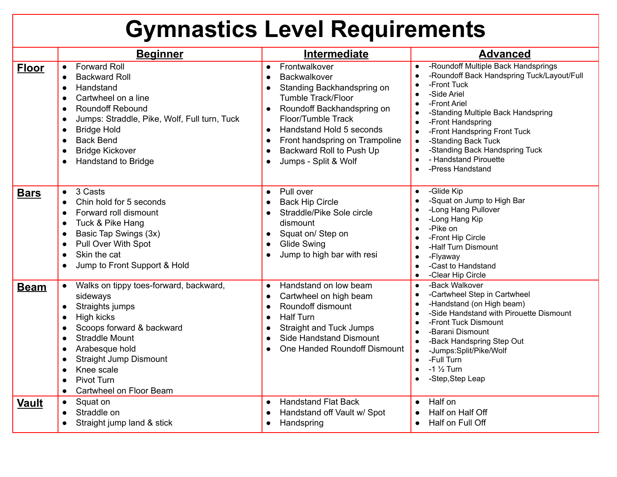## **Gymnastics Level Requirements**

|              | <b>Beginner</b>                                                                                                                                                                                                                                                                                                                                                      | Intermediate                                                                                                                                                                                                                                                                                                                    | <b>Advanced</b>                                                                                                                                                                                                                                                                                                                                                         |
|--------------|----------------------------------------------------------------------------------------------------------------------------------------------------------------------------------------------------------------------------------------------------------------------------------------------------------------------------------------------------------------------|---------------------------------------------------------------------------------------------------------------------------------------------------------------------------------------------------------------------------------------------------------------------------------------------------------------------------------|-------------------------------------------------------------------------------------------------------------------------------------------------------------------------------------------------------------------------------------------------------------------------------------------------------------------------------------------------------------------------|
| <b>Floor</b> | <b>Forward Roll</b><br>$\bullet$<br><b>Backward Roll</b><br>$\bullet$<br>Handstand<br>$\bullet$<br>Cartwheel on a line<br>$\bullet$<br><b>Roundoff Rebound</b><br>$\bullet$<br>Jumps: Straddle, Pike, Wolf, Full turn, Tuck<br>$\bullet$<br><b>Bridge Hold</b><br>$\bullet$<br><b>Back Bend</b><br>$\bullet$<br><b>Bridge Kickover</b><br><b>Handstand to Bridge</b> | Frontwalkover<br>$\bullet$<br>Backwalkover<br>$\bullet$<br>Standing Backhandspring on<br><b>Tumble Track/Floor</b><br>Roundoff Backhandspring on<br>Floor/Tumble Track<br>Handstand Hold 5 seconds<br>$\bullet$<br>Front handspring on Trampoline<br>$\bullet$<br>Backward Roll to Push Up<br>$\bullet$<br>Jumps - Split & Wolf | -Roundoff Multiple Back Handsprings<br>$\bullet$<br>-Roundoff Back Handspring Tuck/Layout/Full<br>$\bullet$<br>-Front Tuck<br>-Side Ariel<br>-Front Ariel<br>-Standing Multiple Back Handspring<br>-Front Handspring<br>-Front Handspring Front Tuck<br>-Standing Back Tuck<br>$\bullet$<br>-Standing Back Handspring Tuck<br>- Handstand Pirouette<br>-Press Handstand |
| <b>Bars</b>  | 3 Casts<br>$\bullet$<br>Chin hold for 5 seconds<br>$\bullet$<br>Forward roll dismount<br>$\bullet$<br>Tuck & Pike Hang<br>$\bullet$<br>Basic Tap Swings (3x)<br>$\bullet$<br>Pull Over With Spot<br>$\bullet$<br>Skin the cat<br>$\bullet$<br>Jump to Front Support & Hold                                                                                           | Pull over<br>$\bullet$<br><b>Back Hip Circle</b><br>$\bullet$<br>Straddle/Pike Sole circle<br>dismount<br>Squat on/Step on<br>$\bullet$<br><b>Glide Swing</b><br>$\bullet$<br>Jump to high bar with resi<br>$\bullet$                                                                                                           | -Glide Kip<br>$\bullet$<br>-Squat on Jump to High Bar<br>-Long Hang Pullover<br>-Long Hang Kip<br>-Pike on<br>-Front Hip Circle<br>-Half Turn Dismount<br>-Flyaway<br>-Cast to Handstand<br>-Clear Hip Circle<br>$\bullet$                                                                                                                                              |
| <b>Beam</b>  | Walks on tippy toes-forward, backward,<br>$\bullet$<br>sideways<br>Straights jumps<br>$\bullet$<br>High kicks<br>$\bullet$<br>Scoops forward & backward<br><b>Straddle Mount</b><br>$\bullet$<br>Arabesque hold<br>$\bullet$<br><b>Straight Jump Dismount</b><br>Knee scale<br>$\bullet$<br>Pivot Turn<br>$\bullet$<br>Cartwheel on Floor Beam<br>$\bullet$          | Handstand on low beam<br>$\bullet$<br>Cartwheel on high beam<br>$\bullet$<br>Roundoff dismount<br>$\bullet$<br><b>Half Turn</b><br>$\bullet$<br><b>Straight and Tuck Jumps</b><br>$\bullet$<br><b>Side Handstand Dismount</b><br>One Handed Roundoff Dismount                                                                   | -Back Walkover<br>$\bullet$<br>-Cartwheel Step in Cartwheel<br>$\bullet$<br>-Handstand (on High beam)<br>-Side Handstand with Pirouette Dismount<br>-Front Tuck Dismount<br>-Barani Dismount<br>-Back Handspring Step Out<br>$\bullet$<br>-Jumps:Split/Pike/Wolf<br>-Full Turn<br>$\bullet$<br>$-1\frac{1}{2}$ Turn<br>$\bullet$<br>-Step, Step Leap                    |
| <b>Vault</b> | Squat on<br>$\bullet$<br>Straddle on<br>$\bullet$<br>Straight jump land & stick<br>$\bullet$                                                                                                                                                                                                                                                                         | <b>Handstand Flat Back</b><br>$\bullet$<br>Handstand off Vault w/ Spot<br>$\bullet$<br>Handspring<br>$\bullet$                                                                                                                                                                                                                  | Half on<br>$\bullet$<br>Half on Half Off<br>$\bullet$<br>Half on Full Off<br>$\bullet$                                                                                                                                                                                                                                                                                  |